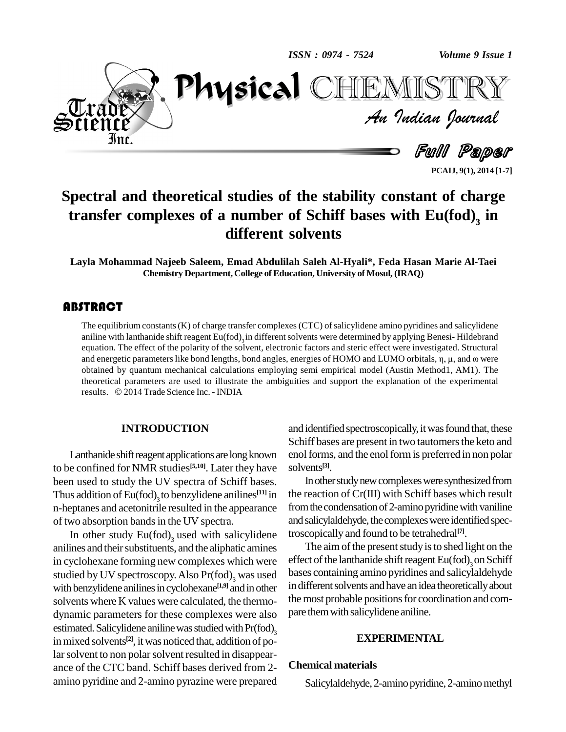



**PCAIJ, 9(1), 2014 [1-7]**

# **Spectral and theoretical studies of the stability constant of charge transfer complexes of a number of Schiff bases with Eu(fod) 3 in different solvents**

**Layla Mohammad Najeeb Saleem, Emad Abdulilah Saleh Al-Hyali\*, Feda Hasan Marie Al-Taei Chemistry Department, College of Education, University of Mosul, (IRAQ)**

## **ABSTRACT**

The equilibrium constant<br>aniline with lanthanide sl<br>equation. The effect of tl The equilibrium constants (K) of charge transfer complexes (CTC) of salicylidene amino pyridines and salicylidene aniline with lanthanide shift reagent Eu(fod)<sub>3</sub> in different solvents were determined by applying Benesi-Hildebrand equation. The effect of the polarity of the solvent, electronic factors and steric effect were investigated. Structural aniline with lanthanide shift reagent Eu(fod)<sub>3</sub> in different solvents were determined by applying Benesi- Hildebrand<br>equation. The effect of the polarity of the solvent, electronic factors and steric effect were investiga obtained by quantum mechanical calculations employing semi empirical model (Austin Method1, AM1). The theoretical parameters are used to illustrate the ambiguities and support the explanation of the experimental obtained by quantum mechanical calculations employin<br>theoretical parameters are used to illustrate the ambigi<br>results. © 2014 Trade Science Inc. - INDIA

## **INTRODUCTION**

Lanthanide shift reagent applications are long known to be confined for NMR studies **[5,10]**. Later they have been used to study the UV spectra of Schiff bases. Thus addition of  $Eu(fod)_{3}$  to benzylidene anilines<sup>[11]</sup> in n-heptanes and acetonitrile resulted in the appearance of two absorption bands in the UV spectra.

In other study  $Eu(fod)$ <sub>3</sub> used with salicylidene trosco anilines and their substituents, and the aliphatic amines in cyclohexane forming new complexes which were studied by UV spectroscopy. Also  $Pr(fod)$ <sub>3</sub> was used bases c with benzylidene anilines in cyclohexane<sup>[1,9]</sup> and in other in d solvents where K values were calculated, the thermo dynamic parameters for these complexes were also estimated. Salicylidene aniline was studied with Pr(fod), 3 in mixed solvents<sup>[2]</sup>, it was noticed that, addition of polar solvent to non polar solvent resulted in disappearance of the CTC band. Schiff bases derived from 2 amino pyridine and 2-amino pyrazine were prepared

and identified spectroscopically, it was found that, these Schiff bases are present in two tautomers the keto and enol forms, and the enol form is preferred in non polar solvents **[3]**.

**[11]** in the reaction of Cr(III) with Schiff bases which result In other study new complexes were synthesized from from the condensation of 2-amino pyridine with vaniline and salicylaldehyde, the complexes were identified spectroscopically and found to be tetrahedral **[7]**.

> The aim of the present study is to shed light on the effect of the lanthanide shift reagent  $\mathrm{Eu(fod)}_3$  on Schiff bases containing amino pyridines and salicylaldehyde in different solvents and have an idea theoretically about the most probable positions for coordination and compare themwith salicylidene aniline.

#### **EXPERIMENTAL**

#### **Chemical materials**

Salicylaldehyde, 2-amino pyridine, 2-amino methyl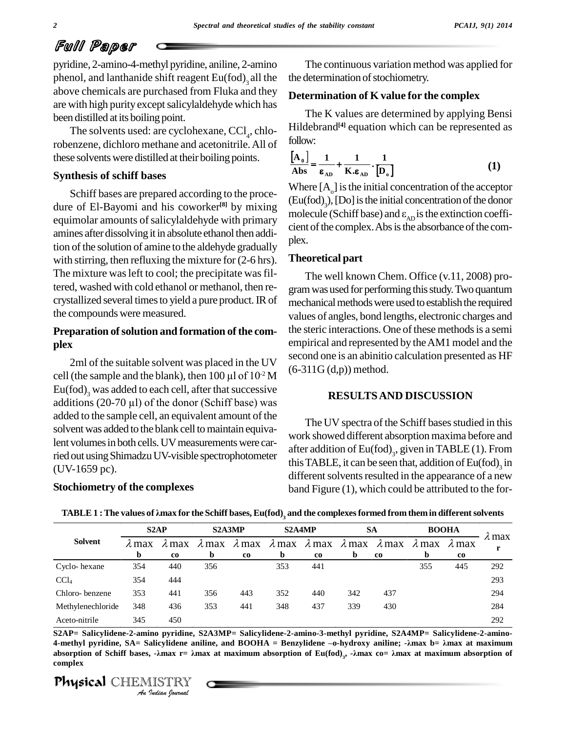## Full Paper

pyridine, 2-amino-4-methyl pyridine, aniline, 2-amino phenol, and lanthanide shift reagent  $Eu(fod)$ <sub>3</sub> all the the de above chemicals are purchased from Fluka and they are with high purity except salicylaldehyde which has been distilled at its boiling point.

The solvents used: are cyclohexane,  $\text{CCl}_4$ , chlorobenzene, dichloro methane and acetonitrile.All of these solventswere distilled at their boiling points.

#### **Synthesis of schiff bases**

Schiff bases are prepared according to the proce dure of El-Bayomi and his coworker **[8]** by mixing equimolar amounts of salicylaldehyde with primary amines after dissolving it in absolute ethanol then addition of the solution of amine to the aldehyde gradually with stirring, then refluxing the mixture for  $(2-6 \text{ hrs})$ . The mixture was left to cool; the precipitate was filtered, washed with cold ethanol or methanol, then re-<br>crystallized several times to yield a pure product. IR of the compounds were measured.

## **Preparation ofsolution and formation of the com plex**

2ml of the suitable solvent was placed in the UV **piex**<br>2ml of the suitable solvent was placed in the UV sec<br>cell (the sample and the blank), then 100 µl of  $10^{-2}$  M  $\mathrm{Eu(fod)}_{3}$  was added to each cell, after that successive cell (the sample and the blank), then  $100 \mu l$  of  $10^{-2}$  M<br>Eu(fod)<sub>3</sub> was added to each cell, after that successive<br>additions (20-70  $\mu$ l) of the donor (Schiff base) was added to the sample cell, an equivalent amount of the solvent was added to the blank cell to maintain equivalent volumes in both cells. UV measurements were carried out using Shimadzu UV-visible spectrophotometer (UV-1659 pc).

#### **Stochiometry of the complexes**

The continuous variation method was applied for the determination of stochiometry.

#### **Determination of K valuefor the complex**

The K values are determined by applying Bensi Hildebrand **[4]** equation which can be represented as follow:  $W:$ <br> $\begin{bmatrix} 1 \end{bmatrix}$ 

follow:  
\n
$$
\frac{[A_0]}{Abs} = \frac{1}{\epsilon_{AD}} + \frac{1}{K \epsilon_{AD}} \cdot \frac{1}{[D_0]}
$$
\n(1)

Where  $[A_0]$  is the initial concentration of the acceptor  $(Eu(fod)_{3})$ , [Do] is the initial concentration of the donor Where  $[A_0]$  is the initial concentration of the acceptor (Eu(fod)<sub>3</sub>), [Do] is the initial concentration of the donor molecule (Schiff base) and  $\varepsilon_{AD}$  is the extinction coefficient of the complex. Abs is the absorbance of the complex.

#### **Theoretical part**

 $_{-2}^{\circ}$  M (6-311G(d,p)) method. The well known Chem. Office (v.11, 2008) pro gram was used for performing this study. Two quantum mechanical methods were used to establish the required values of angles, bond lengths, electronic charges and the steric interactions. One of these methods is a semi empirical and represented by the AM1 model and the second one is an abinitio calculation presented as HF

## **RESULTSAND DISCUSSION**

The UV spectra of the Schiff bases studied in this work showed different absorption maxima before and after addition of  $\mathsf{Eu(fod)}_3$ , given in TABLE (1). From this TABLE, it can be seen that, addition of  $\mathrm{Eu}(\mathrm{fod})_{3}$  in different solvents resulted in the appearance of a new band Figure (1), which could be attributed to the for-

|                   |                    | S2AP                |                    | S2A3MP              |             | S2A4MP                            |                    | <b>SA</b>                  |                    | <b>BOOHA</b>                 |       |
|-------------------|--------------------|---------------------|--------------------|---------------------|-------------|-----------------------------------|--------------------|----------------------------|--------------------|------------------------------|-------|
| <b>Solvent</b>    | $\lambda$ max<br>b | ∧max<br>$_{\rm co}$ | $\lambda$ max<br>b | $\lambda$ max<br>co | $\mathbf b$ | $\lambda$ max $\lambda$ max<br>co | $\lambda$ max<br>b | $\lambda$ max<br><b>co</b> | $\lambda$ max<br>b | $\lambda$ max<br>$_{\rm co}$ | ∧ max |
| Cyclo-hexane      | 354                | 440                 | 356                |                     | 353         | 441                               |                    |                            | 355                | 445                          | 292   |
| CCl <sub>4</sub>  | 354                | 444                 |                    |                     |             |                                   |                    |                            |                    |                              | 293   |
| Chloro-benzene    | 353                | 441                 | 356                | 443                 | 352         | 440                               | 342                | 437                        |                    |                              | 294   |
| Methylenechloride | 348                | 436                 | 353                | 441                 | 348         | 437                               | 339                | 430                        |                    |                              | 284   |
| Aceto-nitrile     | 345                | 450                 |                    |                     |             |                                   |                    |                            |                    |                              | 292   |

ocnlometry of the complexes band Figure (1), which could be attributed to the for-<br>TABLE 1 : The values of  $\lambda$ max for the Schiff bases, Eu(fod)<sub>3</sub> and the complexes formed from them in different solvents

*ISO*<br>*Ino pyridine, S*<br>*IISTRY*<br>*IISTRY*<br>*Indian hournal* .<br>**Physical** CHEMISTRY **S2AP= Salicylidene-2-amino pyridine, S2A3MP= Salicylidene-2-amino-3-methyl pyridine, S2A4MP= Salicylidene-2-amino-** Aceto-nitrile<br>
S2AP= Salicylidene-2-amino pyridine, S2A3MP= Salicylidene-2-amino-3-methyl pyridine, S2A4MP= Salicylidene-2-amino-<br>
4-methyl pyridine, SA= Salicylidene aniline, and BOOHA = Benzylidene –o-hydroxy aniline; -S2AP= Salicylidene-2-amino pyridine, S2A3MP= Salicylidene-2-amino-3-methyl pyridine, S2A4MP= Salicylidene-2-amino-<br>4-methyl pyridine, SA= Salicylidene aniline, and BOOHA = Benzylidene –o-hydroxy aniline; -λmax b= λmax at absorption of Schiff bases,  $-\lambda$ max  $r = \lambda$ max at maximum absorption of Eu(fod),  $-\lambda$ max  $\cos \lambda$  at maximum absorption of **complex**

*2*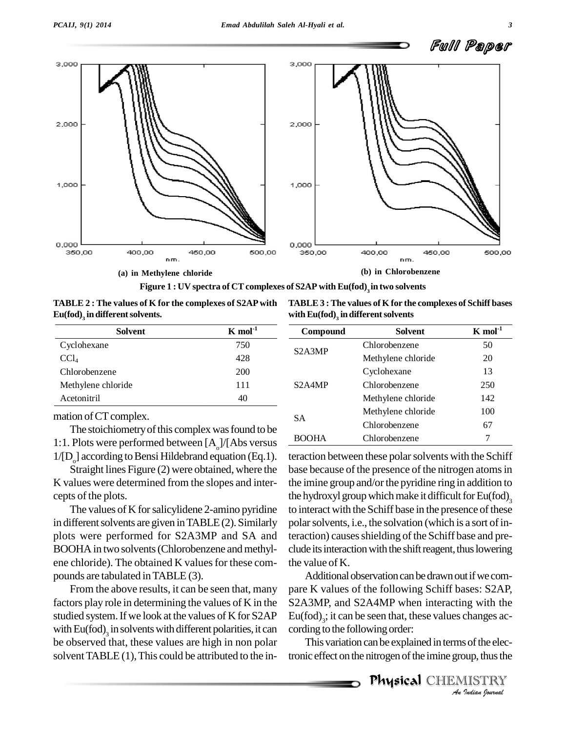



**TABLE 2 : The values of K for the complexes of S2APwith**  $\mathbf{Eu}(\mathbf{fod})_{\mathfrak{z}}$  in different solvents.

| <b>TABLE 3: The values of K for the complexes of Schiff bases</b> |  |
|-------------------------------------------------------------------|--|
| with $Eu(fod)$ , in different solvents                            |  |

| Solvent            | $K \mod 1$ |
|--------------------|------------|
| Cyclohexane        | 750        |
| CCl <sub>4</sub>   | 428        |
| Chlorobenzene      | 200        |
| Methylene chloride | 111        |
| Acetonitril        | 40         |

mation of CT complex.

The stoichiometry of this complex was found to be 1:1. Plots were performed between  $[A_2]/[Abs]$  versus  $1/[D_0]$  according to Bensi Hildebrand equation (Eq.1).<br>Straight lines Figure (2) were obtained, where the

K values were determined from the slopes and inter cepts of the plots.

The values of K for salicylidene 2-amino pyridine in different solvents are given in TABLE $(2)$ . Similarly plots were performed for S2A3MP and SA and BOOHA in two solvents (Chlorobenzene and methylene chloride). The obtained K values for these compounds are tabulated inTABLE (3).

From the above results, it can be seen that, many factors play role in determining the values of K in the studied system.If we look at the values of K for S2AP with  $Eu(fod)$ <sub>3</sub> in solvents with different polarities, it can cording be observed that, these values are high in non polar solvent  $TABLE (1)$ , This could be attributed to the in-

| Compound                         | Solvent            | $K$ mol <sup>-1</sup> |
|----------------------------------|--------------------|-----------------------|
|                                  | Chlorobenzene      | 50                    |
| S <sub>2</sub> A <sub>3</sub> MP | Methylene chloride | 20                    |
|                                  | Cyclohexane        | 13                    |
| S <sub>2</sub> A <sub>4</sub> MP | Chlorobenzene      | 250                   |
|                                  | Methylene chloride | 142                   |
|                                  | Methylene chloride | 100                   |
| SА                               | Chlorobenzene      | 67                    |
|                                  | Chlorobenzene      |                       |

teraction between these polar solvents with the Schiff base because of the presence of the nitrogen atoms in the imine group and/or the pyridine ring in addition to the hydroxyl group which make it difficult for  $Eu(fod)_{2}$ 3 to interact with the Schiff base in the presence of these polar solvents, i.e., the solvation (which is a sort of interaction) causes shielding of the Schiff base and preclude its interaction with the shift reagent, thus lowering the value of K.

Eu(fod)<sub>3</sub>; it can be seen that, these values changes ac-*Indianges ac*<br>*Indian ISTRY*<br>*IISTRY*<br>*Indian Iournal* Additional observation can be drawn out if we compare K values of the following Schiff bases: S2AP, S2A3MP, and S2A4MP when interacting with the cording to the following order:

This variation can be explained in terms of the electronic effect on the nitrogen of the imine group, thus the

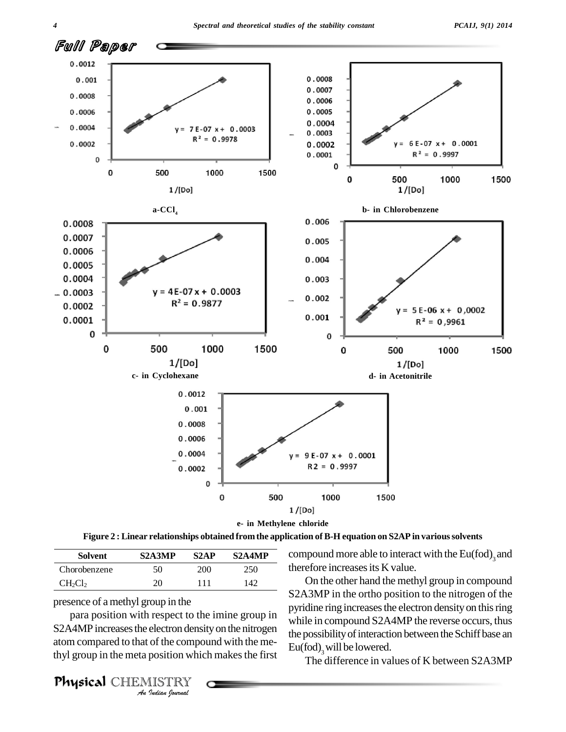

**Figure 2 : Linear relationships obtained from the application of B-H equation on S2AP in varioussolvents**

| Solvent                         | S <sub>2</sub> A <sub>3</sub> MP | S <sub>2</sub> AP | S <sub>2</sub> A <sub>4</sub> MP | comp  |
|---------------------------------|----------------------------------|-------------------|----------------------------------|-------|
| Chorobenzene                    | 50                               | 200               | 250                              | there |
| CH <sub>2</sub> Cl <sub>2</sub> | 20                               | 111               | 142                              |       |

presence of amethyl group in the

para position with respect to the imine group in while is *I* respect to the electron dense<br>*Indian* by position which the electron<br>*IISTRY* S2A4MP increases the electron density on the nitrogen atom compared to that of the compound with the methyl group in the meta position which makes the first

compound more able to interact with the  $\mathrm{Eu(fod)}_{3}$  and therefore increases its K value.

On the other hand the methyl group in compound S2A3MP in the ortho position to the nitrogen of the pyridine ring increases the electron density on this ring while in compound S2A4MP the reverse occurs, thus the possibility of interaction between the Schiff base an Eu(fod), will be lowered.

The difference in values of K between S2A3MP

Physical CHEMISTRY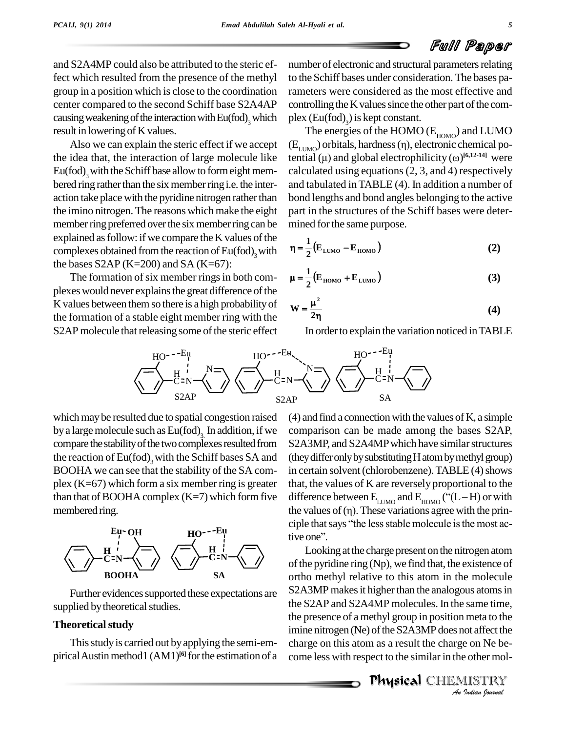and S2A4MP could also be attributed to the steric effect which resulted from the presence of the methyl group in a position which is close to the coordination center compared to the second Schiff base S2A4AP causing weakening of the interaction with Eu(fod), which result in lowering of Kvalues.

Also we can explain the steric effect if we accept the idea that, the interaction of large molecule like Eu(fod), with the Schiff base allow to form eight membered ring rather than the six member ring i.e. the interaction take place with the pyridine nitrogen rather than the imino nitrogen. The reasons which make the eight member ring preferred over the six member ring can be explained as follow: if we compare the K values of the complexes obtained from the reaction of Eu(fod)<sub>3</sub> with  $\eta = \frac{1}{2}$ the bases  $S2AP$  (K=200) and SA (K=67):

The formation of six member rings in both complexes would never explains the great difference of the K values between them so there is a high probability of the formation of a stable eight member ring with the S2AP molecule that releasing some of the steric effect

<sup>3</sup> which plex  $(Eu(fod)$ <sup>3</sup>) is ke number of electronic and structural parameters relating to the Schiff bases under consideration.The bases parameters were considered as the most effective and controlling the K values since the other part of the com-

 $\alpha$  (Eu(fod)<sub>3</sub>) is kept constant.<br>The energies of the HOMO (E<sub>HOMO</sub>) and LUMO  $(E_{LUMO})$  orbitals  $\text{Eu}(\text{fod})$ <sub>3</sub>) is kept constant.<br>e energies of the HOMO ( $\text{E}_{\text{HOMO}}$ ) and LUMO<br>) orbitals, hardness (η), electronic chemical po-The energies of the HOMO ( $E_{HOMO}$ ) and LU<br>( $E_{LUMO}$ ) orbitals, hardness ( $\eta$ ), electronic chemics<br>tential ( $\mu$ ) and global electrophilicity ( $\omega$ )<sup>[6,12-14]</sup> tential  $(\mu)$  and global electrophilicity  $(\omega)$ <sup>[6,12-14]</sup> were calculated using equations(2, 3, and 4) respectively and tabulated inTABLE (4). In addition a number of bond lengths and bond angles belonging to the active part in the structures of the Schiff bases were deter-

mined for the same purpose.  
\n
$$
\eta = \frac{1}{2} (E_{LUMO} - E_{HOMO})
$$
\n(2)

$$
\mu = \frac{1}{2} (E_{HOMO} + E_{LUMO})
$$
 (3)

$$
W = \frac{\mu^2}{2\eta}
$$
 (4)

In order to explain the variation noticed in TABLE



which may be resulted due to spatial congestion raised by a large molecule such as  $Eu(fod)_{3}$  In addition, if we comp compare the stability of the two complexes resulted from the reaction of  $Eu(fod)$ <sub>3</sub> with the Schiff bases SA and (they di BOOHA we can see that the stability of the SA com plex  $(K=67)$  which form a six member ring is greater than that of BOOHA complex  $(K=7)$  which form five membered ring.



Further evidences supported these expectations are supplied by theoretical studies.

## **Theoretical study**

This study is carried out by applying the semi-empirical Austin method1 (AM1)<sup>[6]</sup> for the estimation of a con

 $(4)$  and find a connection with the values of K, a simple comparison can be made among the bases S2AP, S2A3MP, and S2A4MP which have similar structures (theydifferonlybysubstitutingHatombymethylgroup) in certain solvent (chlorobenzene). TABLE (4) shows that, the values of K are reversely proportional to the in certain solvent (chlorobenzene). TABLE (4) shows<br>that, the values of K are reversely proportional to the<br>difference between  $E_{LUMO}$  and  $E_{HOMO}$  ("(L – H) or with that, the values of K are reversely proportional to the<br>difference between  $E_{LUMO}$  and  $E_{HOMO}$  ("( $L-H$ ) or with<br>the values of ( $\eta$ ). These variations agree with the prindifference between  $E_{LUMO}$  and  $E_{HOMO}$  ("(L – H) or with<br>the values of (η). These variations agree with the prin-<br>ciple that says "the less stable molecule is the most acthe values of (1)<br>ciple that says<br>tive one".

*An*the presence of a methyl group in position meta to the Indian to the<br>**Indian Property Contains the Be-**<br>**IISTRY**<br>*Indian Iournal* Looking at the charge present on the nitrogen atom of the pyridine ring (Np), we find that, the existence of ortho methyl relative to this atom in the molecule S2A3MP makes it higher than the analogous atoms in the S2AP and S2A4MP molecules. In the same time, imine nitrogen (Ne) of the S2A3MP does not affect the charge on this atom as a result the charge on Ne be come less with respect to the similar in the other mol-

Physical CHEMISTRY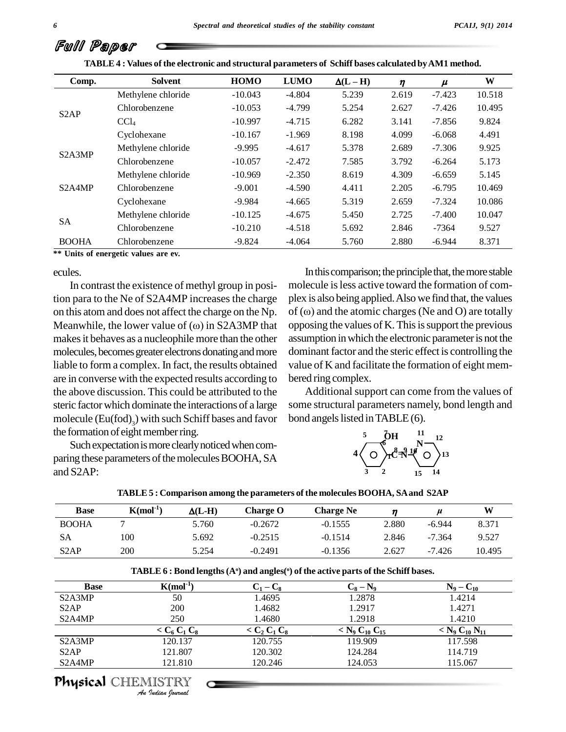| Full Paper |  |
|------------|--|
|------------|--|

|                                  | TABLE 4: Values of the electronic and structural parameters of Schiff bases calculated by AM1 method. |             |             |               |       |          |        |
|----------------------------------|-------------------------------------------------------------------------------------------------------|-------------|-------------|---------------|-------|----------|--------|
| Comp.                            | Solvent                                                                                               | <b>HOMO</b> | <b>LUMO</b> | $\Delta(L-H)$ | η     | $\mu$    | W      |
|                                  | Methylene chloride                                                                                    | $-10.043$   | $-4.804$    | 5.239         | 2.619 | $-7.423$ | 10.518 |
| S <sub>2</sub> AP                | Chlorobenzene                                                                                         | $-10.053$   | $-4.799$    | 5.254         | 2.627 | $-7.426$ | 10.495 |
|                                  | CCl <sub>4</sub>                                                                                      | $-10.997$   | $-4.715$    | 6.282         | 3.141 | $-7.856$ | 9.824  |
|                                  | Cyclohexane                                                                                           | $-10.167$   | $-1.969$    | 8.198         | 4.099 | $-6.068$ | 4.491  |
| S <sub>2</sub> A <sub>3</sub> MP | Methylene chloride                                                                                    | $-9.995$    | $-4.617$    | 5.378         | 2.689 | $-7.306$ | 9.925  |
|                                  | Chlorobenzene                                                                                         | $-10.057$   | $-2.472$    | 7.585         | 3.792 | $-6.264$ | 5.173  |
|                                  | Methylene chloride                                                                                    | $-10.969$   | $-2.350$    | 8.619         | 4.309 | $-6.659$ | 5.145  |
| S <sub>2</sub> A <sub>4</sub> MP | Chlorobenzene                                                                                         | $-9.001$    | $-4.590$    | 4.411         | 2.205 | $-6.795$ | 10.469 |
|                                  | Cyclohexane                                                                                           | $-9.984$    | $-4.665$    | 5.319         | 2.659 | $-7.324$ | 10.086 |
|                                  | Methylene chloride                                                                                    | $-10.125$   | $-4.675$    | 5.450         | 2.725 | $-7.400$ | 10.047 |
| SA                               | Chlorobenzene                                                                                         | $-10.210$   | $-4.518$    | 5.692         | 2.846 | $-7364$  | 9.527  |
| <b>BOOHA</b>                     | Chlorobenzene                                                                                         | $-9.824$    | $-4.064$    | 5.760         | 2.880 | $-6.944$ | 8.371  |

| TABLE 4 : Values of the electronic and structural parameters of Schiff bases calculated by AM1 method. |  |
|--------------------------------------------------------------------------------------------------------|--|
|--------------------------------------------------------------------------------------------------------|--|

**\*\* Units of energetic values are ev.**

#### ecules.

In contrast the existence of methyl group in position para to the Ne of S2A4MP increases the charge on this atom and does not affect the charge on the Np. of  $(\omega)$  and the atomic charges (Ne and O) are totally Meanwhile, the lower value of  $(\omega)$  in S2A3MP that makes it behaves as a nucleophile more than the other molecules, becomes greater electrons donating and more liable to form a complex. In fact, the results obtained are in converse with the expected results according to the above discussion. This could be attributed to the steric factor which dominate the interactions of a large molecule  $(Eu(fod)_3)$  with such Schiff bases and favor bon the formation of eight member ring.

Such expectation is more clearly noticed when comparing these parameters of the molecules BOOHA, SA and S2AP:

In this comparison; the principle that, the more stable molecule is less active toward the formation of com-<br>plex is also being applied. Also we find that, the values<br>of (∞) and the atomic charges (Ne and O) are totally plex is also being applied. Also we find that, the values opposing the values of K. This is support the previous assumption in which the electronic parameter is not the dominant factor and the steric effect is controlling the value of K and facilitate the formation of eight mem bered ring complex.

Additional support can come from the values of some structural parameters namely, bond length and bond angels listed in TABLE(6).



| TABLE 5 : Comparison among the parameters of the molecules BOOHA, SA and S2AP |            |               |           |                  |       |          |        |
|-------------------------------------------------------------------------------|------------|---------------|-----------|------------------|-------|----------|--------|
| <b>Base</b>                                                                   | $K(mol-1)$ | $\Delta(L-H)$ | Charge O  | <b>Charge Ne</b> |       |          | W      |
| <b>BOOHA</b>                                                                  |            | 5.760         | $-0.2672$ | $-0.1555$        | 2.880 | $-6.944$ | 8.371  |
| <b>SA</b>                                                                     | 100        | 5.692         | $-0.2515$ | $-0.1514$        | 2.846 | $-7.364$ | 9.527  |
| S <sub>2</sub> AP                                                             | <b>200</b> | 5.254         | $-0.2491$ | $-0.1356$        | 2.627 | $-7.426$ | 10.495 |

| TABLE 5 : Comparison among the parameters of the molecules BOOHA, SA and S2AP |  |
|-------------------------------------------------------------------------------|--|
|-------------------------------------------------------------------------------|--|

|  |  |  |  |  |  |  |  | TABLE $6$ : Bond lengths (A°) and angles(°) of the active parts of the Schiff bases. |  |
|--|--|--|--|--|--|--|--|--------------------------------------------------------------------------------------|--|
|--|--|--|--|--|--|--|--|--------------------------------------------------------------------------------------|--|

| <b>Base</b>                      | $K(mol-1)$      | $C_1 - C_8$                                      | $C_8 - N_9$                                        | $N_9 - C_{10}$        |
|----------------------------------|-----------------|--------------------------------------------------|----------------------------------------------------|-----------------------|
| S <sub>2</sub> A <sub>3</sub> MP | 50              | 1.4695                                           | 1.2878                                             | 1.4214                |
| S <sub>2</sub> AP                | 200             | 1.4682                                           | 1.2917                                             | 1.4271                |
| S <sub>2</sub> A <sub>4</sub> MP | 250             | 1.4680                                           | 1.2918                                             | 1.4210                |
|                                  | $< C_6 C_1 C_8$ | $<$ C <sub>2</sub> C <sub>1</sub> C <sub>8</sub> | $<$ N <sub>9</sub> C <sub>10</sub> C <sub>15</sub> | $< N_9 C_{10} N_{11}$ |
| S <sub>2</sub> A <sub>3</sub> MP | 120.137         | 120.755                                          | 119.909                                            | 117.598               |
| S <sub>2</sub> AP                | 121.807         | 120.302                                          | 124.284                                            | 114.719               |
| S <sub>2</sub> A <sub>4</sub> MP | 121.810         | 120.246                                          | 124.053                                            | 115.067               |